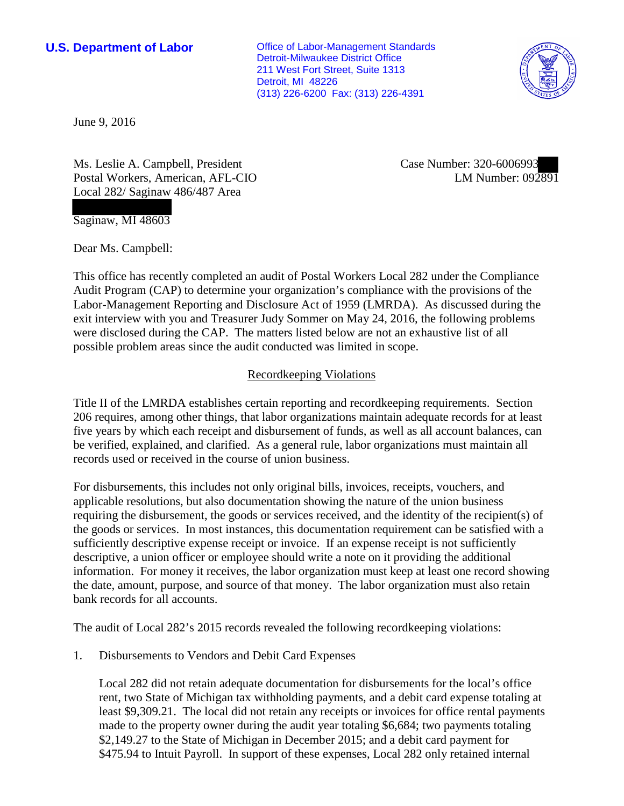**U.S. Department of Labor Conservative Conservative Conservative Conservative Conservative Conservative Conservative Conservative Conservative Conservative Conservative Conservative Conservative Conservative Conservative** Detroit-Milwaukee District Office 211 West Fort Street, Suite 1313 Detroit, MI 48226 (313) 226-6200 Fax: (313) 226-4391



June 9, 2016

Ms. Leslie A. Campbell, President Postal Workers, American, AFL-CIO Local 282/ Saginaw 486/487 Area

Case Number: 320-6006993 LM Number: 092891

Saginaw, MI 48603

Dear Ms. Campbell:

This office has recently completed an audit of Postal Workers Local 282 under the Compliance Audit Program (CAP) to determine your organization's compliance with the provisions of the Labor-Management Reporting and Disclosure Act of 1959 (LMRDA). As discussed during the exit interview with you and Treasurer Judy Sommer on May 24, 2016, the following problems were disclosed during the CAP. The matters listed below are not an exhaustive list of all possible problem areas since the audit conducted was limited in scope.

### Recordkeeping Violations

Title II of the LMRDA establishes certain reporting and recordkeeping requirements. Section 206 requires, among other things, that labor organizations maintain adequate records for at least five years by which each receipt and disbursement of funds, as well as all account balances, can be verified, explained, and clarified. As a general rule, labor organizations must maintain all records used or received in the course of union business.

For disbursements, this includes not only original bills, invoices, receipts, vouchers, and applicable resolutions, but also documentation showing the nature of the union business requiring the disbursement, the goods or services received, and the identity of the recipient(s) of the goods or services. In most instances, this documentation requirement can be satisfied with a sufficiently descriptive expense receipt or invoice. If an expense receipt is not sufficiently descriptive, a union officer or employee should write a note on it providing the additional information. For money it receives, the labor organization must keep at least one record showing the date, amount, purpose, and source of that money. The labor organization must also retain bank records for all accounts.

The audit of Local 282's 2015 records revealed the following recordkeeping violations:

1. Disbursements to Vendors and Debit Card Expenses

Local 282 did not retain adequate documentation for disbursements for the local's office rent, two State of Michigan tax withholding payments, and a debit card expense totaling at least \$9,309.21. The local did not retain any receipts or invoices for office rental payments made to the property owner during the audit year totaling \$6,684; two payments totaling \$2,149.27 to the State of Michigan in December 2015; and a debit card payment for \$475.94 to Intuit Payroll. In support of these expenses, Local 282 only retained internal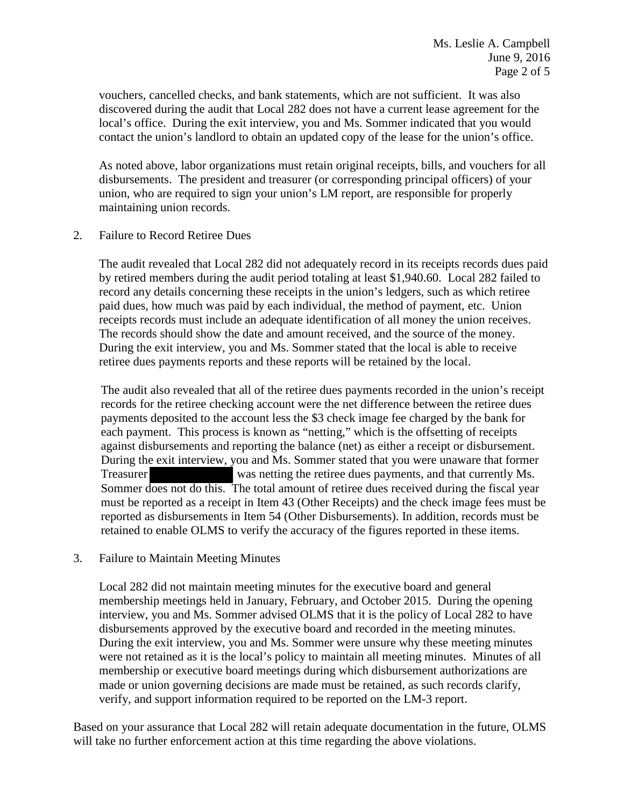vouchers, cancelled checks, and bank statements, which are not sufficient. It was also discovered during the audit that Local 282 does not have a current lease agreement for the local's office. During the exit interview, you and Ms. Sommer indicated that you would contact the union's landlord to obtain an updated copy of the lease for the union's office.

As noted above, labor organizations must retain original receipts, bills, and vouchers for all disbursements. The president and treasurer (or corresponding principal officers) of your union, who are required to sign your union's LM report, are responsible for properly maintaining union records.

2. Failure to Record Retiree Dues

The audit revealed that Local 282 did not adequately record in its receipts records dues paid by retired members during the audit period totaling at least \$1,940.60. Local 282 failed to record any details concerning these receipts in the union's ledgers, such as which retiree paid dues, how much was paid by each individual, the method of payment, etc. Union receipts records must include an adequate identification of all money the union receives. The records should show the date and amount received, and the source of the money. During the exit interview, you and Ms. Sommer stated that the local is able to receive retiree dues payments reports and these reports will be retained by the local.

The audit also revealed that all of the retiree dues payments recorded in the union's receipt records for the retiree checking account were the net difference between the retiree dues payments deposited to the account less the \$3 check image fee charged by the bank for each payment. This process is known as "netting," which is the offsetting of receipts against disbursements and reporting the balance (net) as either a receipt or disbursement. During the exit interview, you and Ms. Sommer stated that you were unaware that former Treasurer was netting the retiree dues payments, and that currently Ms. Sommer does not do this. The total amount of retiree dues received during the fiscal year must be reported as a receipt in Item 43 (Other Receipts) and the check image fees must be reported as disbursements in Item 54 (Other Disbursements). In addition, records must be retained to enable OLMS to verify the accuracy of the figures reported in these items.

3. Failure to Maintain Meeting Minutes

Local 282 did not maintain meeting minutes for the executive board and general membership meetings held in January, February, and October 2015. During the opening interview, you and Ms. Sommer advised OLMS that it is the policy of Local 282 to have disbursements approved by the executive board and recorded in the meeting minutes. During the exit interview, you and Ms. Sommer were unsure why these meeting minutes were not retained as it is the local's policy to maintain all meeting minutes. Minutes of all membership or executive board meetings during which disbursement authorizations are made or union governing decisions are made must be retained, as such records clarify, verify, and support information required to be reported on the LM-3 report.

Based on your assurance that Local 282 will retain adequate documentation in the future, OLMS will take no further enforcement action at this time regarding the above violations.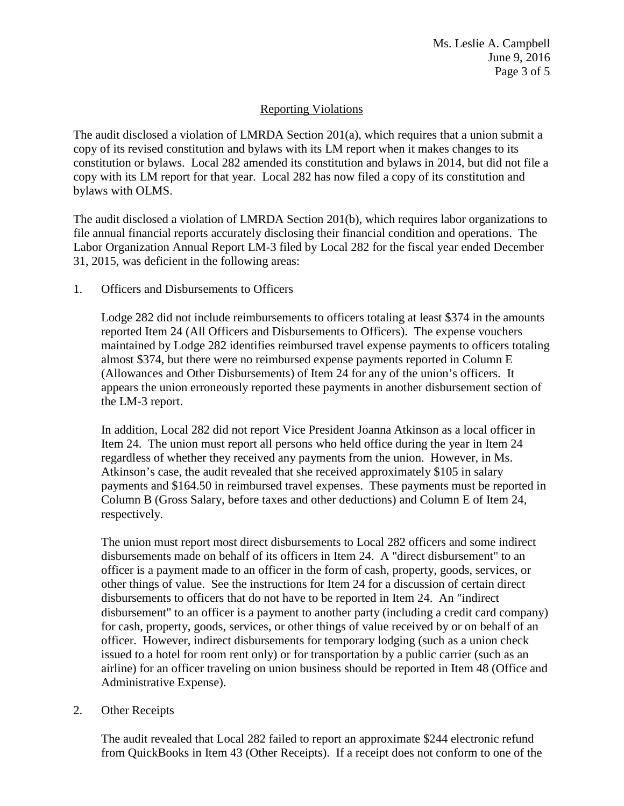Ms. Leslie A. Campbell June 9, 2016 Page 3 of 5

# Reporting Violations

The audit disclosed a violation of LMRDA Section 201(a), which requires that a union submit a copy of its revised constitution and bylaws with its LM report when it makes changes to its constitution or bylaws. Local 282 amended its constitution and bylaws in 2014, but did not file a copy with its LM report for that year. Local 282 has now filed a copy of its constitution and bylaws with OLMS.

The audit disclosed a violation of LMRDA Section 201(b), which requires labor organizations to file annual financial reports accurately disclosing their financial condition and operations. The Labor Organization Annual Report LM-3 filed by Local 282 for the fiscal year ended December 31, 2015, was deficient in the following areas:

1. Officers and Disbursements to Officers

Lodge 282 did not include reimbursements to officers totaling at least \$374 in the amounts reported Item 24 (All Officers and Disbursements to Officers). The expense vouchers maintained by Lodge 282 identifies reimbursed travel expense payments to officers totaling almost \$374, but there were no reimbursed expense payments reported in Column E (Allowances and Other Disbursements) of Item 24 for any of the union's officers. It appears the union erroneously reported these payments in another disbursement section of the LM-3 report.

In addition, Local 282 did not report Vice President Joanna Atkinson as a local officer in Item 24. The union must report all persons who held office during the year in Item 24 regardless of whether they received any payments from the union. However, in Ms. Atkinson's case, the audit revealed that she received approximately \$105 in salary payments and \$164.50 in reimbursed travel expenses. These payments must be reported in Column B (Gross Salary, before taxes and other deductions) and Column E of Item 24, respectively.

The union must report most direct disbursements to Local 282 officers and some indirect disbursements made on behalf of its officers in Item 24. A "direct disbursement" to an officer is a payment made to an officer in the form of cash, property, goods, services, or other things of value. See the instructions for Item 24 for a discussion of certain direct disbursements to officers that do not have to be reported in Item 24. An "indirect disbursement" to an officer is a payment to another party (including a credit card company) for cash, property, goods, services, or other things of value received by or on behalf of an officer. However, indirect disbursements for temporary lodging (such as a union check issued to a hotel for room rent only) or for transportation by a public carrier (such as an airline) for an officer traveling on union business should be reported in Item 48 (Office and Administrative Expense).

## 2. Other Receipts

The audit revealed that Local 282 failed to report an approximate \$244 electronic refund from QuickBooks in Item 43 (Other Receipts). If a receipt does not conform to one of the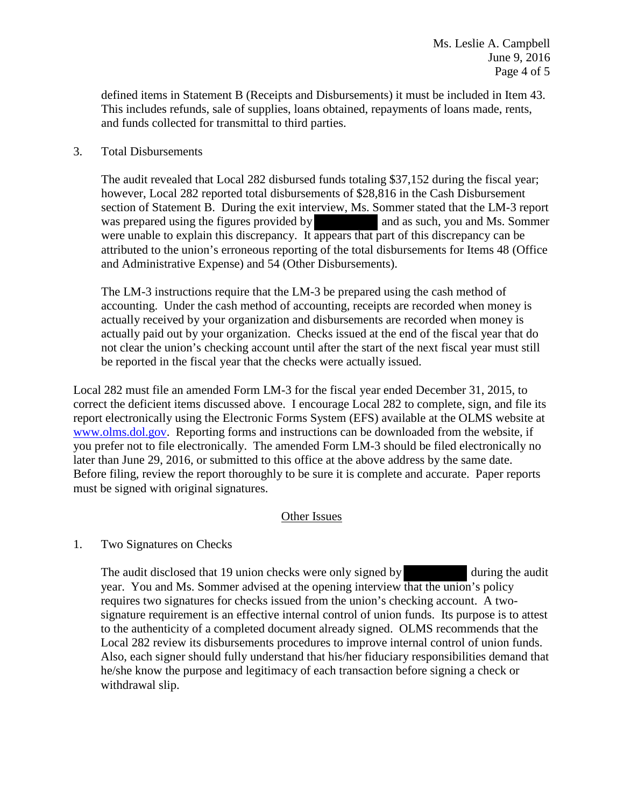defined items in Statement B (Receipts and Disbursements) it must be included in Item 43. This includes refunds, sale of supplies, loans obtained, repayments of loans made, rents, and funds collected for transmittal to third parties.

## 3. Total Disbursements

The audit revealed that Local 282 disbursed funds totaling \$37,152 during the fiscal year; however, Local 282 reported total disbursements of \$28,816 in the Cash Disbursement section of Statement B. During the exit interview, Ms. Sommer stated that the LM-3 report was prepared using the figures provided by and as such, you and Ms. Sommer were unable to explain this discrepancy. It appears that part of this discrepancy can be attributed to the union's erroneous reporting of the total disbursements for Items 48 (Office and Administrative Expense) and 54 (Other Disbursements).

The LM-3 instructions require that the LM-3 be prepared using the cash method of accounting. Under the cash method of accounting, receipts are recorded when money is actually received by your organization and disbursements are recorded when money is actually paid out by your organization. Checks issued at the end of the fiscal year that do not clear the union's checking account until after the start of the next fiscal year must still be reported in the fiscal year that the checks were actually issued.

Local 282 must file an amended Form LM-3 for the fiscal year ended December 31, 2015, to correct the deficient items discussed above. I encourage Local 282 to complete, sign, and file its report electronically using the Electronic Forms System (EFS) available at the OLMS website at www.olms.dol.gov. Reporting forms and instructions can be downloaded from the website, if you prefer not to file electronically. The amended Form LM-3 should be filed electronically no later than June 29, 2016, or submitted to this office at the above address by the same date. Before filing, review the report thoroughly to be sure it is complete and accurate. Paper reports must be signed with original signatures.

### Other Issues

## 1. Two Signatures on Checks

The audit disclosed that 19 union checks were only signed by during the audit year. You and Ms. Sommer advised at the opening interview that the union's policy requires two signatures for checks issued from the union's checking account. A twosignature requirement is an effective internal control of union funds. Its purpose is to attest to the authenticity of a completed document already signed. OLMS recommends that the Local 282 review its disbursements procedures to improve internal control of union funds. Also, each signer should fully understand that his/her fiduciary responsibilities demand that he/she know the purpose and legitimacy of each transaction before signing a check or withdrawal slip.